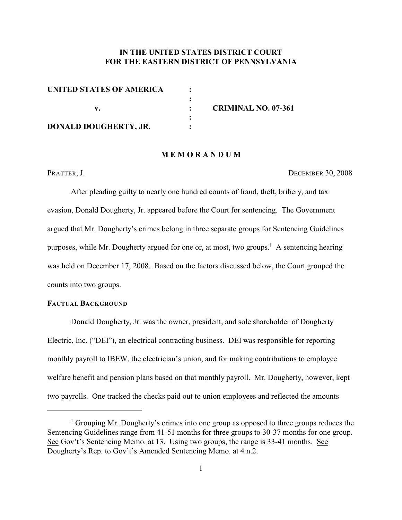# **IN THE UNITED STATES DISTRICT COURT FOR THE EASTERN DISTRICT OF PENNSYLVANIA**

| UNITED STATES OF AMERICA     |                            |
|------------------------------|----------------------------|
|                              |                            |
|                              | <b>CRIMINAL NO. 07-361</b> |
|                              |                            |
| <b>DONALD DOUGHERTY, JR.</b> |                            |

#### **M E M O R A N D U M**

PRATTER, J. DECEMBER 30, 2008

After pleading guilty to nearly one hundred counts of fraud, theft, bribery, and tax evasion, Donald Dougherty, Jr. appeared before the Court for sentencing. The Government argued that Mr. Dougherty's crimes belong in three separate groups for Sentencing Guidelines purposes, while Mr. Dougherty argued for one or, at most, two groups.<sup>1</sup> A sentencing hearing was held on December 17, 2008. Based on the factors discussed below, the Court grouped the counts into two groups.

# **FACTUAL BACKGROUND**

Donald Dougherty, Jr. was the owner, president, and sole shareholder of Dougherty Electric, Inc. ("DEI"), an electrical contracting business. DEI was responsible for reporting monthly payroll to IBEW, the electrician's union, and for making contributions to employee welfare benefit and pension plans based on that monthly payroll. Mr. Dougherty, however, kept two payrolls. One tracked the checks paid out to union employees and reflected the amounts

 $\frac{1}{1}$  Grouping Mr. Dougherty's crimes into one group as opposed to three groups reduces the Sentencing Guidelines range from 41-51 months for three groups to 30-37 months for one group. See Gov't's Sentencing Memo. at 13. Using two groups, the range is 33-41 months. See Dougherty's Rep. to Gov't's Amended Sentencing Memo. at 4 n.2.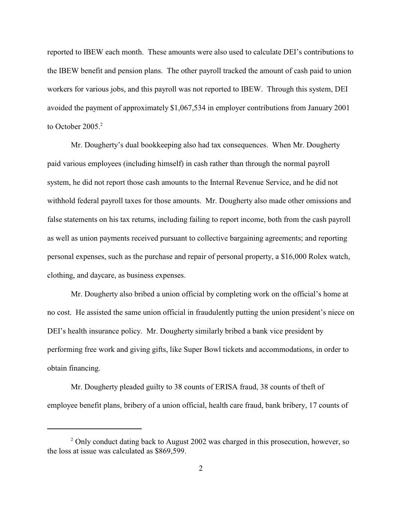reported to IBEW each month. These amounts were also used to calculate DEI's contributions to the IBEW benefit and pension plans. The other payroll tracked the amount of cash paid to union workers for various jobs, and this payroll was not reported to IBEW. Through this system, DEI avoided the payment of approximately \$1,067,534 in employer contributions from January 2001 to October 2005. $2$ 

Mr. Dougherty's dual bookkeeping also had tax consequences. When Mr. Dougherty paid various employees (including himself) in cash rather than through the normal payroll system, he did not report those cash amounts to the Internal Revenue Service, and he did not withhold federal payroll taxes for those amounts. Mr. Dougherty also made other omissions and false statements on his tax returns, including failing to report income, both from the cash payroll as well as union payments received pursuant to collective bargaining agreements; and reporting personal expenses, such as the purchase and repair of personal property, a \$16,000 Rolex watch, clothing, and daycare, as business expenses.

Mr. Dougherty also bribed a union official by completing work on the official's home at no cost. He assisted the same union official in fraudulently putting the union president's niece on DEI's health insurance policy. Mr. Dougherty similarly bribed a bank vice president by performing free work and giving gifts, like Super Bowl tickets and accommodations, in order to obtain financing.

Mr. Dougherty pleaded guilty to 38 counts of ERISA fraud, 38 counts of theft of employee benefit plans, bribery of a union official, health care fraud, bank bribery, 17 counts of

 $\degree$  Only conduct dating back to August 2002 was charged in this prosecution, however, so the loss at issue was calculated as \$869,599.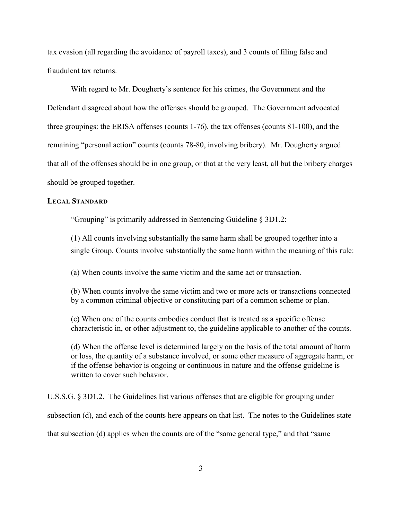tax evasion (all regarding the avoidance of payroll taxes), and 3 counts of filing false and fraudulent tax returns.

With regard to Mr. Dougherty's sentence for his crimes, the Government and the Defendant disagreed about how the offenses should be grouped. The Government advocated three groupings: the ERISA offenses (counts 1-76), the tax offenses (counts 81-100), and the remaining "personal action" counts (counts 78-80, involving bribery). Mr. Dougherty argued that all of the offenses should be in one group, or that at the very least, all but the bribery charges should be grouped together.

#### **LEGAL STANDARD**

"Grouping" is primarily addressed in Sentencing Guideline § 3D1.2:

(1) All counts involving substantially the same harm shall be grouped together into a single Group. Counts involve substantially the same harm within the meaning of this rule:

(a) When counts involve the same victim and the same act or transaction.

(b) When counts involve the same victim and two or more acts or transactions connected by a common criminal objective or constituting part of a common scheme or plan.

(c) When one of the counts embodies conduct that is treated as a specific offense characteristic in, or other adjustment to, the guideline applicable to another of the counts.

(d) When the offense level is determined largely on the basis of the total amount of harm or loss, the quantity of a substance involved, or some other measure of aggregate harm, or if the offense behavior is ongoing or continuous in nature and the offense guideline is written to cover such behavior.

U.S.S.G. § 3D1.2. The Guidelines list various offenses that are eligible for grouping under subsection (d), and each of the counts here appears on that list. The notes to the Guidelines state that subsection (d) applies when the counts are of the "same general type," and that "same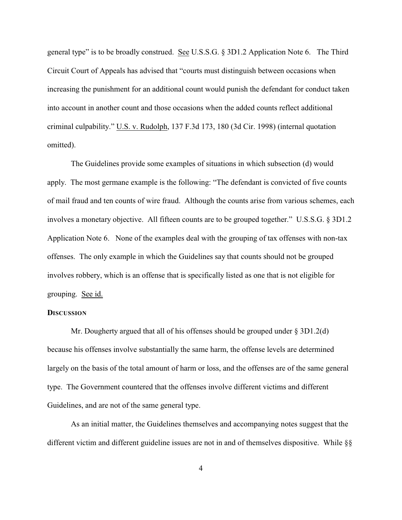general type" is to be broadly construed. See U.S.S.G. § 3D1.2 Application Note 6. The Third Circuit Court of Appeals has advised that "courts must distinguish between occasions when increasing the punishment for an additional count would punish the defendant for conduct taken into account in another count and those occasions when the added counts reflect additional criminal culpability." U.S. v. Rudolph, 137 F.3d 173, 180 (3d Cir. 1998) (internal quotation omitted).

The Guidelines provide some examples of situations in which subsection (d) would apply. The most germane example is the following: "The defendant is convicted of five counts of mail fraud and ten counts of wire fraud. Although the counts arise from various schemes, each involves a monetary objective. All fifteen counts are to be grouped together." U.S.S.G. § 3D1.2 Application Note 6. None of the examples deal with the grouping of tax offenses with non-tax offenses. The only example in which the Guidelines say that counts should not be grouped involves robbery, which is an offense that is specifically listed as one that is not eligible for grouping. See id.

#### **DISCUSSION**

Mr. Dougherty argued that all of his offenses should be grouped under  $\S 3D1.2(d)$ because his offenses involve substantially the same harm, the offense levels are determined largely on the basis of the total amount of harm or loss, and the offenses are of the same general type. The Government countered that the offenses involve different victims and different Guidelines, and are not of the same general type.

As an initial matter, the Guidelines themselves and accompanying notes suggest that the different victim and different guideline issues are not in and of themselves dispositive. While §§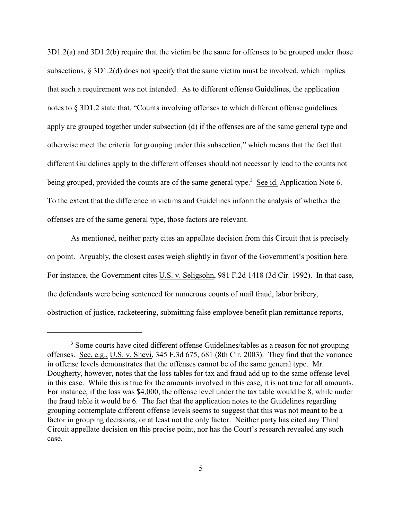3D1.2(a) and 3D1.2(b) require that the victim be the same for offenses to be grouped under those subsections,  $\S 3D1.2(d)$  does not specify that the same victim must be involved, which implies that such a requirement was not intended. As to different offense Guidelines, the application notes to § 3D1.2 state that, "Counts involving offenses to which different offense guidelines apply are grouped together under subsection (d) if the offenses are of the same general type and otherwise meet the criteria for grouping under this subsection," which means that the fact that different Guidelines apply to the different offenses should not necessarily lead to the counts not being grouped, provided the counts are of the same general type.<sup>3</sup> See id. Application Note 6. To the extent that the difference in victims and Guidelines inform the analysis of whether the offenses are of the same general type, those factors are relevant.

As mentioned, neither party cites an appellate decision from this Circuit that is precisely on point. Arguably, the closest cases weigh slightly in favor of the Government's position here. For instance, the Government cites U.S. v. Seligsohn, 981 F.2d 1418 (3d Cir. 1992). In that case, the defendants were being sentenced for numerous counts of mail fraud, labor bribery, obstruction of justice, racketeering, submitting false employee benefit plan remittance reports,

<sup>&</sup>lt;sup>3</sup> Some courts have cited different offense Guidelines/tables as a reason for not grouping offenses. See, e.g., U.S. v. Shevi, 345 F.3d 675, 681 (8th Cir. 2003). They find that the variance in offense levels demonstrates that the offenses cannot be of the same general type. Mr. Dougherty, however, notes that the loss tables for tax and fraud add up to the same offense level in this case. While this is true for the amounts involved in this case, it is not true for all amounts. For instance, if the loss was \$4,000, the offense level under the tax table would be 8, while under the fraud table it would be 6. The fact that the application notes to the Guidelines regarding grouping contemplate different offense levels seems to suggest that this was not meant to be a factor in grouping decisions, or at least not the only factor. Neither party has cited any Third Circuit appellate decision on this precise point, nor has the Court's research revealed any such case.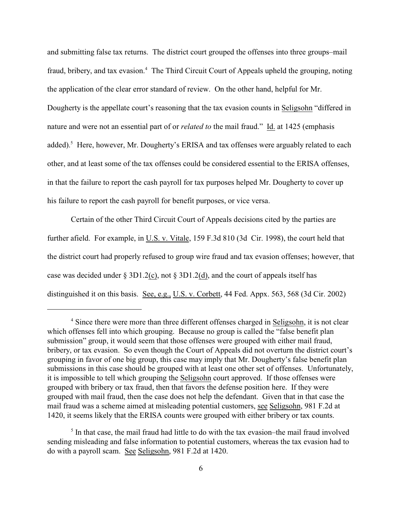and submitting false tax returns. The district court grouped the offenses into three groups–mail fraud, bribery, and tax evasion.<sup>4</sup> The Third Circuit Court of Appeals upheld the grouping, noting the application of the clear error standard of review. On the other hand, helpful for Mr. Dougherty is the appellate court's reasoning that the tax evasion counts in Seligsohn "differed in nature and were not an essential part of or *related to* the mail fraud." Id. at 1425 (emphasis added).<sup>5</sup> Here, however, Mr. Dougherty's ERISA and tax offenses were arguably related to each other, and at least some of the tax offenses could be considered essential to the ERISA offenses, in that the failure to report the cash payroll for tax purposes helped Mr. Dougherty to cover up his failure to report the cash payroll for benefit purposes, or vice versa.

Certain of the other Third Circuit Court of Appeals decisions cited by the parties are further afield. For example, in U.S. v. Vitale, 159 F.3d 810 (3d Cir. 1998), the court held that the district court had properly refused to group wire fraud and tax evasion offenses; however, that case was decided under  $\S 3D1.2(c)$ , not  $\S 3D1.2(d)$ , and the court of appeals itself has distinguished it on this basis. See, e.g., U.S. v. Corbett, 44 Fed. Appx. 563, 568 (3d Cir. 2002)

<sup>&</sup>lt;sup>4</sup> Since there were more than three different offenses charged in Seligsohn, it is not clear which offenses fell into which grouping. Because no group is called the "false benefit plan submission" group, it would seem that those offenses were grouped with either mail fraud, bribery, or tax evasion. So even though the Court of Appeals did not overturn the district court's grouping in favor of one big group, this case may imply that Mr. Dougherty's false benefit plan submissions in this case should be grouped with at least one other set of offenses. Unfortunately, it is impossible to tell which grouping the Seligsohn court approved. If those offenses were grouped with bribery or tax fraud, then that favors the defense position here. If they were grouped with mail fraud, then the case does not help the defendant. Given that in that case the mail fraud was a scheme aimed at misleading potential customers, see Seligsohn, 981 F.2d at 1420, it seems likely that the ERISA counts were grouped with either bribery or tax counts.

 $<sup>5</sup>$  In that case, the mail fraud had little to do with the tax evasion–the mail fraud involved</sup> sending misleading and false information to potential customers, whereas the tax evasion had to do with a payroll scam. See Seligsohn, 981 F.2d at 1420.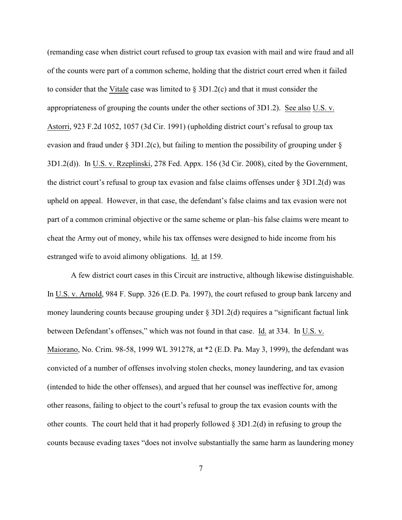(remanding case when district court refused to group tax evasion with mail and wire fraud and all of the counts were part of a common scheme, holding that the district court erred when it failed to consider that the Vitale case was limited to  $\S 3D1.2(c)$  and that it must consider the appropriateness of grouping the counts under the other sections of 3D1.2). See also U.S. v. Astorri, 923 F.2d 1052, 1057 (3d Cir. 1991) (upholding district court's refusal to group tax evasion and fraud under  $\S 3D1.2(c)$ , but failing to mention the possibility of grouping under  $\S$ 3D1.2(d)). In U.S. v. Rzeplinski, 278 Fed. Appx. 156 (3d Cir. 2008), cited by the Government, the district court's refusal to group tax evasion and false claims offenses under  $\S 3D1.2(d)$  was upheld on appeal. However, in that case, the defendant's false claims and tax evasion were not part of a common criminal objective or the same scheme or plan–his false claims were meant to cheat the Army out of money, while his tax offenses were designed to hide income from his estranged wife to avoid alimony obligations. Id. at 159.

A few district court cases in this Circuit are instructive, although likewise distinguishable. In U.S. v. Arnold, 984 F. Supp. 326 (E.D. Pa. 1997), the court refused to group bank larceny and money laundering counts because grouping under  $\S 3D1.2(d)$  requires a "significant factual link between Defendant's offenses," which was not found in that case. Id. at 334. In U.S. v. Maiorano, No. Crim. 98-58, 1999 WL 391278, at \*2 (E.D. Pa. May 3, 1999), the defendant was convicted of a number of offenses involving stolen checks, money laundering, and tax evasion (intended to hide the other offenses), and argued that her counsel was ineffective for, among other reasons, failing to object to the court's refusal to group the tax evasion counts with the other counts. The court held that it had properly followed § 3D1.2(d) in refusing to group the counts because evading taxes "does not involve substantially the same harm as laundering money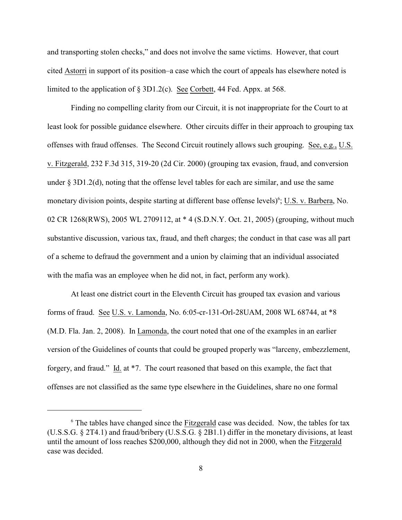and transporting stolen checks," and does not involve the same victims. However, that court cited Astorri in support of its position–a case which the court of appeals has elsewhere noted is limited to the application of § 3D1.2(c). See Corbett, 44 Fed. Appx. at 568.

Finding no compelling clarity from our Circuit, it is not inappropriate for the Court to at least look for possible guidance elsewhere. Other circuits differ in their approach to grouping tax offenses with fraud offenses. The Second Circuit routinely allows such grouping. See, e.g., U.S. v. Fitzgerald, 232 F.3d 315, 319-20 (2d Cir. 2000) (grouping tax evasion, fraud, and conversion under § 3D1.2(d), noting that the offense level tables for each are similar, and use the same monetary division points, despite starting at different base offense levels)<sup>6</sup>; U.S. v. Barbera, No. 02 CR 1268(RWS), 2005 WL 2709112, at \* 4 (S.D.N.Y. Oct. 21, 2005) (grouping, without much substantive discussion, various tax, fraud, and theft charges; the conduct in that case was all part of a scheme to defraud the government and a union by claiming that an individual associated with the mafia was an employee when he did not, in fact, perform any work).

At least one district court in the Eleventh Circuit has grouped tax evasion and various forms of fraud. See U.S. v. Lamonda, No. 6:05-cr-131-Orl-28UAM, 2008 WL 68744, at \*8 (M.D. Fla. Jan. 2, 2008). In Lamonda, the court noted that one of the examples in an earlier version of the Guidelines of counts that could be grouped properly was "larceny, embezzlement, forgery, and fraud." Id. at \*7. The court reasoned that based on this example, the fact that offenses are not classified as the same type elsewhere in the Guidelines, share no one formal

 $6$  The tables have changed since the  $Fitzgerald$  case was decided. Now, the tables for tax (U.S.S.G. § 2T4.1) and fraud/bribery (U.S.S.G. § 2B1.1) differ in the monetary divisions, at least until the amount of loss reaches \$200,000, although they did not in 2000, when the Fitzgerald case was decided.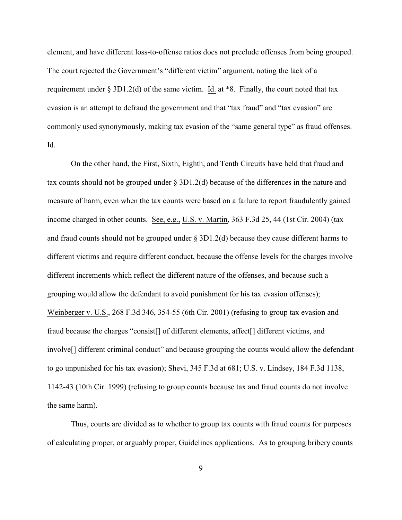element, and have different loss-to-offense ratios does not preclude offenses from being grouped. The court rejected the Government's "different victim" argument, noting the lack of a requirement under  $\S 3D1.2(d)$  of the same victim. Id. at \*8. Finally, the court noted that tax evasion is an attempt to defraud the government and that "tax fraud" and "tax evasion" are commonly used synonymously, making tax evasion of the "same general type" as fraud offenses. Id.

On the other hand, the First, Sixth, Eighth, and Tenth Circuits have held that fraud and tax counts should not be grouped under § 3D1.2(d) because of the differences in the nature and measure of harm, even when the tax counts were based on a failure to report fraudulently gained income charged in other counts. See, e.g., U.S. v. Martin, 363 F.3d 25, 44 (1st Cir. 2004) (tax and fraud counts should not be grouped under § 3D1.2(d) because they cause different harms to different victims and require different conduct, because the offense levels for the charges involve different increments which reflect the different nature of the offenses, and because such a grouping would allow the defendant to avoid punishment for his tax evasion offenses); Weinberger v. U.S., 268 F.3d 346, 354-55 (6th Cir. 2001) (refusing to group tax evasion and fraud because the charges "consist[] of different elements, affect[] different victims, and involve[] different criminal conduct" and because grouping the counts would allow the defendant to go unpunished for his tax evasion); Shevi, 345 F.3d at 681; U.S. v. Lindsey, 184 F.3d 1138, 1142-43 (10th Cir. 1999) (refusing to group counts because tax and fraud counts do not involve the same harm).

Thus, courts are divided as to whether to group tax counts with fraud counts for purposes of calculating proper, or arguably proper, Guidelines applications. As to grouping bribery counts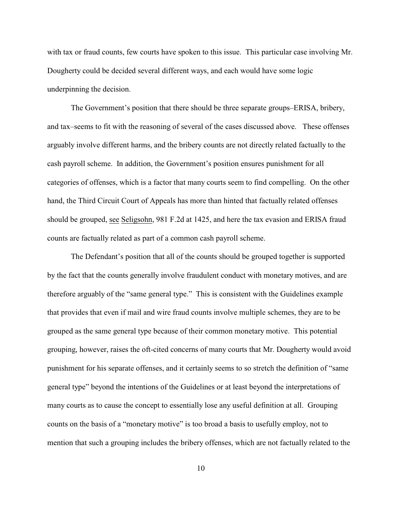with tax or fraud counts, few courts have spoken to this issue. This particular case involving Mr. Dougherty could be decided several different ways, and each would have some logic underpinning the decision.

The Government's position that there should be three separate groups–ERISA, bribery, and tax–seems to fit with the reasoning of several of the cases discussed above. These offenses arguably involve different harms, and the bribery counts are not directly related factually to the cash payroll scheme. In addition, the Government's position ensures punishment for all categories of offenses, which is a factor that many courts seem to find compelling. On the other hand, the Third Circuit Court of Appeals has more than hinted that factually related offenses should be grouped, see Seligsohn, 981 F.2d at 1425, and here the tax evasion and ERISA fraud counts are factually related as part of a common cash payroll scheme.

The Defendant's position that all of the counts should be grouped together is supported by the fact that the counts generally involve fraudulent conduct with monetary motives, and are therefore arguably of the "same general type." This is consistent with the Guidelines example that provides that even if mail and wire fraud counts involve multiple schemes, they are to be grouped as the same general type because of their common monetary motive. This potential grouping, however, raises the oft-cited concerns of many courts that Mr. Dougherty would avoid punishment for his separate offenses, and it certainly seems to so stretch the definition of "same general type" beyond the intentions of the Guidelines or at least beyond the interpretations of many courts as to cause the concept to essentially lose any useful definition at all. Grouping counts on the basis of a "monetary motive" is too broad a basis to usefully employ, not to mention that such a grouping includes the bribery offenses, which are not factually related to the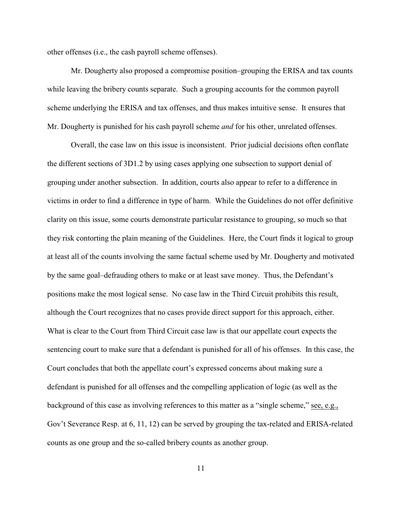other offenses (i.e., the cash payroll scheme offenses).

Mr. Dougherty also proposed a compromise position–grouping the ERISA and tax counts while leaving the bribery counts separate. Such a grouping accounts for the common payroll scheme underlying the ERISA and tax offenses, and thus makes intuitive sense. It ensures that Mr. Dougherty is punished for his cash payroll scheme *and* for his other, unrelated offenses.

Overall, the case law on this issue is inconsistent. Prior judicial decisions often conflate the different sections of 3D1.2 by using cases applying one subsection to support denial of grouping under another subsection. In addition, courts also appear to refer to a difference in victims in order to find a difference in type of harm. While the Guidelines do not offer definitive clarity on this issue, some courts demonstrate particular resistance to grouping, so much so that they risk contorting the plain meaning of the Guidelines. Here, the Court finds it logical to group at least all of the counts involving the same factual scheme used by Mr. Dougherty and motivated by the same goal–defrauding others to make or at least save money. Thus, the Defendant's positions make the most logical sense. No case law in the Third Circuit prohibits this result, although the Court recognizes that no cases provide direct support for this approach, either. What is clear to the Court from Third Circuit case law is that our appellate court expects the sentencing court to make sure that a defendant is punished for all of his offenses. In this case, the Court concludes that both the appellate court's expressed concerns about making sure a defendant is punished for all offenses and the compelling application of logic (as well as the background of this case as involving references to this matter as a "single scheme," see, e.g., Gov't Severance Resp. at 6, 11, 12) can be served by grouping the tax-related and ERISA-related counts as one group and the so-called bribery counts as another group.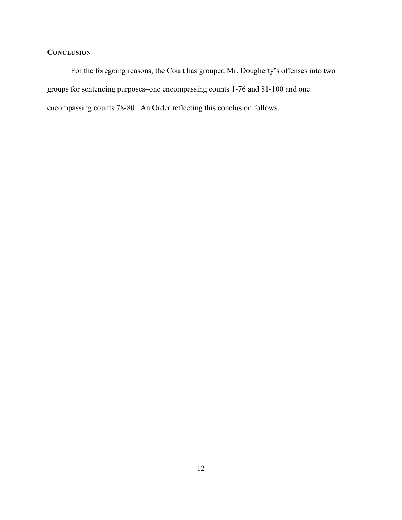# **CONCLUSION**

For the foregoing reasons, the Court has grouped Mr. Dougherty's offenses into two groups for sentencing purposes–one encompassing counts 1-76 and 81-100 and one encompassing counts 78-80. An Order reflecting this conclusion follows.